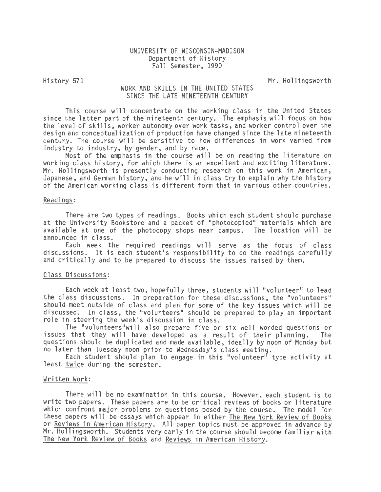History 571

Mr. Hollingsworth

# WORK AND SKILLS IN THE UNITED STATES SINCE THE LATE NINETEENTH CENTURY

This course will concentrate on the working class in the United States since the latter part of the nineteenth century. The emphasis will focus on how the level of skills, worker autonomy over work tasks, and worker control over the design and conceptualization of production have changed since the late nineteenth century. The course will be sensitive to how differences in work varied from industry to industry, by gender, and by race.

Most of the emphasis in the course will be on reading the literature on working class history, for which there is an excellent and exciting literature. Mr. Hollingsworth is presently conducting research on this work in American, Japanese, and German history, and he will in class try to explain why the history<br>of the American working class is different form that in various other countries.

#### Readings:

There are two types of readings. Books which each student should purchase at the University Bookstore and a packet of "photocopied" materials which are available at one of the photocopy shops near campus. The location will be announced in class.

Each week the required readings will serve as the focus of class discussions. It is each student's responsibility to do the readings carefully and critically and to be prepared to discuss the issues raised by them.

## Class Discussions:

Each week at least two, hopefully three, students will "volunteer" to lead the class discussions. In preparation for these discussions, the "volunteers" should meet outside of class and plan for some of the key issues which will be discussed. In class, the "volunteers" should be prepared to play an important role in steering the week•s discussion in class.

The "volunteers"will also prepare five or six well worded questions or issues that they will have developed as a result of their planning. The questions should be duplicated and made available, ideally by noon of Monday but no later than Tuesday noon prior to Wednesday's class meeting.

Each student should plan to engage in this "volunteer" type activity at least twice during the semester.

## Written Work:

There will be no examination in this course. However, each student is to write two papers. These papers are to be critical reviews of books or literature which confront major problems or questions posed by the course. The model for these papers will be essays which appear in either The New York Review of Books or Reviews in American History. All paper topics must be approved in advance by Mr. Hollingsworth. Students very early in the course should become familiar with The New York Review of Books and Reviews in American History.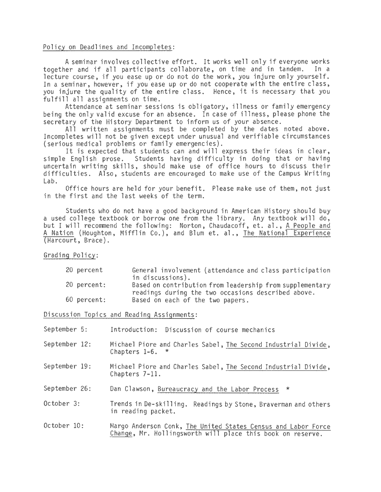## Policy on Deadlines and Incompletes:

A seminar involves collective effort. It works well only if everyone works<br>Ler and if all participants collaborate, on time and in tandem. In a together and if all participants collaborate, on time and in tandem. lecture course, if you ease up or do not do the work, you injure only yourself. In a seminar, however, if you ease up or do not cooperate with the entire class, you injure the quality of the entire class. Hence, it is necessary that you fulfill all assignments on time.

Attendance at seminar sessions is obligatory, illness or family emergency being the only valid excuse for an absence. In case of illness, please phone the secretary of the History Department to inform us of your absence.

All written assignments must be completed by the dates noted above. Incompletes will not be given except under unusual and verifiable circumstances (serious medical problems or family emergencies).

It is expected that students can and will express their ideas in clear, simple English prose. Students having difficulty in doing that or having uncertain writing skills, should make use of office hours to discuss their difficulties. Also, students are encouraged to make use of the Campus Writing Lab.

Office hours are held for your benefit. Please make use of them, not just in the first and the last weeks of the term.

Students who do not have a good background in American History should buy a used college textbook or borrow one from the library. Any textbook will do, but I will recommend the following: Norton, Chaudacoff, et. al., A People and A Nation (Houghton, Mifflin Co.), and Blum et. al., The National Experience<br>(Harcourt, Brace).

Grading Policy:

| 20 percent  | General involvement (attendance and class participation  |
|-------------|----------------------------------------------------------|
|             | in discussions).                                         |
| 20 percent: | Based on contribution from leadership from supplementary |
|             | readings during the two occasions described above.       |
| 60 percent: | Based on each of the two papers.                         |

Discussion Topics and Reading Assignments:

| September 5:  | Introduction: Discussion of course mechanics                                                                                |
|---------------|-----------------------------------------------------------------------------------------------------------------------------|
| September 12: | Michael Piore and Charles Sabel, The Second Industrial Divide,<br>Chapters $1-6$ . *                                        |
| September 19: | Michael Piore and Charles Sabel, The Second Industrial Divide,<br>Chapters 7-11.                                            |
| September 26: | Dan Clawson, Bureaucracy and the Labor Process<br>$\star$                                                                   |
| October 3:    | Trends in De-skilling. Readings by Stone, Braverman and others<br>in reading packet.                                        |
| October 10:   | Margo Anderson Conk, The United States Census and Labor Force<br>Change, Mr. Hollingsworth will place this book on reserve. |